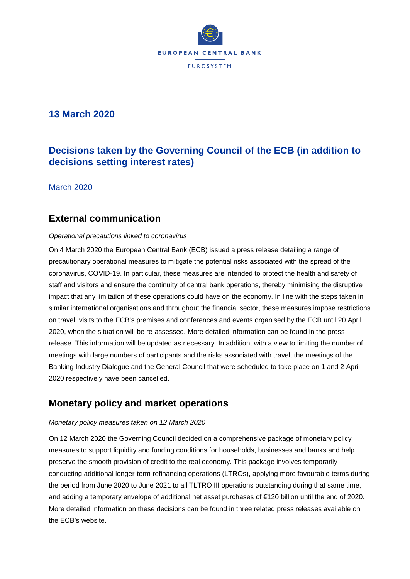

# **13 March 2020**

# **Decisions taken by the Governing Council of the ECB (in addition to decisions setting interest rates)**

March 2020

### **External communication**

#### *Operational precautions linked to coronavirus*

On 4 March 2020 the European Central Bank (ECB) issued a press release detailing a range of precautionary operational measures to mitigate the potential risks associated with the spread of the coronavirus, COVID-19. In particular, these measures are intended to protect the health and safety of staff and visitors and ensure the continuity of central bank operations, thereby minimising the disruptive impact that any limitation of these operations could have on the economy. In line with the steps taken in similar international organisations and throughout the financial sector, these measures impose restrictions on travel, visits to the ECB's premises and conferences and events organised by the ECB until 20 April 2020, when the situation will be re-assessed. More detailed information can be found in the press release. This information will be updated as necessary. In addition, with a view to limiting the number of meetings with large numbers of participants and the risks associated with travel, the meetings of the Banking Industry Dialogue and the General Council that were scheduled to take place on 1 and 2 April 2020 respectively have been cancelled.

## **Monetary policy and market operations**

#### *Monetary policy measures taken on 12 March 2020*

On 12 March 2020 the Governing Council decided on a comprehensive package of monetary policy measures to support liquidity and funding conditions for households, businesses and banks and help preserve the smooth provision of credit to the real economy. This package involves temporarily conducting additional longer-term refinancing operations (LTROs), applying more favourable terms during the period from June 2020 to June 2021 to all TLTRO III operations outstanding during that same time, and adding a temporary envelope of additional net asset purchases of €120 billion until the end of 2020. More detailed information on these decisions can be found in three related press releases available on the ECB's website.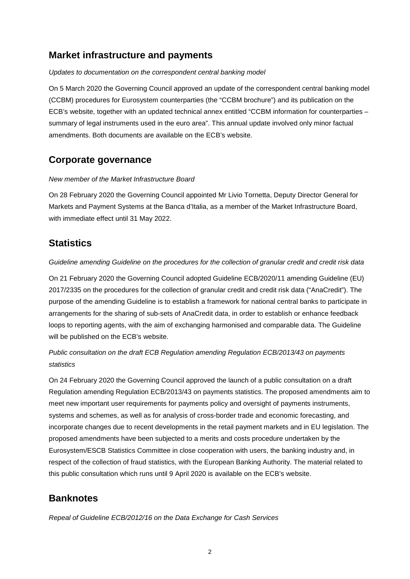## **Market infrastructure and payments**

#### *Updates to documentation on the correspondent central banking model*

On 5 March 2020 the Governing Council approved an update of the correspondent central banking model (CCBM) procedures for Eurosystem counterparties (the "CCBM brochure") and its publication on the ECB's website, together with an updated technical annex entitled "CCBM information for counterparties – summary of legal instruments used in the euro area". This annual update involved only minor factual amendments. Both documents are available on the ECB's website.

## **Corporate governance**

#### *New member of the Market Infrastructure Board*

On 28 February 2020 the Governing Council appointed Mr Livio Tornetta, Deputy Director General for Markets and Payment Systems at the Banca d'Italia, as a member of the Market Infrastructure Board, with immediate effect until 31 May 2022.

### **Statistics**

#### *Guideline amending Guideline on the procedures for the collection of granular credit and credit risk data*

On 21 February 2020 the Governing Council adopted Guideline ECB/2020/11 amending Guideline (EU) 2017/2335 on the procedures for the collection of granular credit and credit risk data ("AnaCredit"). The purpose of the amending Guideline is to establish a framework for national central banks to participate in arrangements for the sharing of sub-sets of AnaCredit data, in order to establish or enhance feedback loops to reporting agents, with the aim of exchanging harmonised and comparable data. The Guideline will be published on the ECB's website.

### *Public consultation on the draft ECB Regulation amending Regulation ECB/2013/43 on payments statistics*

On 24 February 2020 the Governing Council approved the launch of a public consultation on a draft Regulation amending Regulation ECB/2013/43 on payments statistics. The proposed amendments aim to meet new important user requirements for payments policy and oversight of payments instruments, systems and schemes, as well as for analysis of cross-border trade and economic forecasting, and incorporate changes due to recent developments in the retail payment markets and in EU legislation. The proposed amendments have been subjected to a merits and costs procedure undertaken by the Eurosystem/ESCB Statistics Committee in close cooperation with users, the banking industry and, in respect of the collection of fraud statistics, with the European Banking Authority. The material related to this public consultation which runs until 9 April 2020 is available on the ECB's website.

## **Banknotes**

*Repeal of Guideline ECB/2012/16 on the Data Exchange for Cash Services*